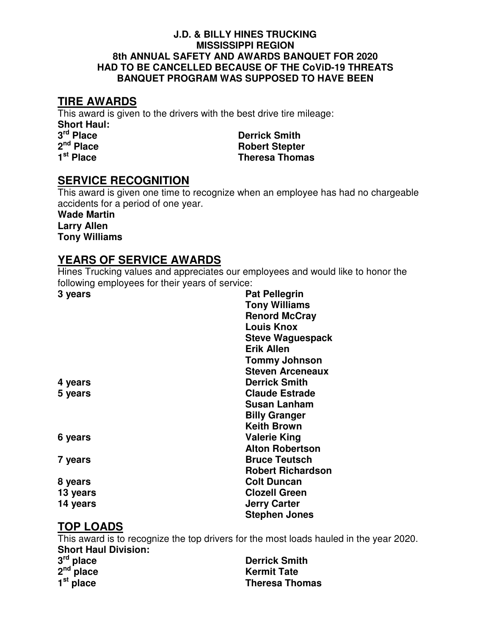#### **J.D. & BILLY HINES TRUCKING MISSISSIPPI REGION 8th ANNUAL SAFETY AND AWARDS BANQUET FOR 2020 HAD TO BE CANCELLED BECAUSE OF THE CoViD-19 THREATS BANQUET PROGRAM WAS SUPPOSED TO HAVE BEEN**

# **TIRE AWARDS**

This award is given to the drivers with the best drive tire mileage: **Short Haul:**  3<sup>rd</sup> Place **Derrick Smith** 2<sup>nd</sup> Place **Robert Stepter** 1<sup>st</sup> Place **st Place Theresa Thomas** 

# **SERVICE RECOGNITION**

This award is given one time to recognize when an employee has had no chargeable accidents for a period of one year.

**Wade Martin Larry Allen Tony Williams** 

## **YEARS OF SERVICE AWARDS**

Hines Trucking values and appreciates our employees and would like to honor the following employees for their years of service:

| 3 years  | <b>Pat Pellegrin</b>     |
|----------|--------------------------|
|          | <b>Tony Williams</b>     |
|          | <b>Renord McCray</b>     |
|          | <b>Louis Knox</b>        |
|          | <b>Steve Waguespack</b>  |
|          | <b>Erik Allen</b>        |
|          | <b>Tommy Johnson</b>     |
|          | <b>Steven Arceneaux</b>  |
| 4 years  | <b>Derrick Smith</b>     |
| 5 years  | <b>Claude Estrade</b>    |
|          | <b>Susan Lanham</b>      |
|          | <b>Billy Granger</b>     |
|          | <b>Keith Brown</b>       |
| 6 years  | <b>Valerie King</b>      |
|          | <b>Alton Robertson</b>   |
| 7 years  | <b>Bruce Teutsch</b>     |
|          | <b>Robert Richardson</b> |
| 8 years  | <b>Colt Duncan</b>       |
| 13 years | <b>Clozell Green</b>     |
| 14 years | <b>Jerry Carter</b>      |
|          | <b>Stephen Jones</b>     |

# **TOP LOADS**

This award is to recognize the top drivers for the most loads hauled in the year 2020. **Short Haul Division: 3 Derrick Smith 2 Kermit Tate 1 st place Theresa Thomas**